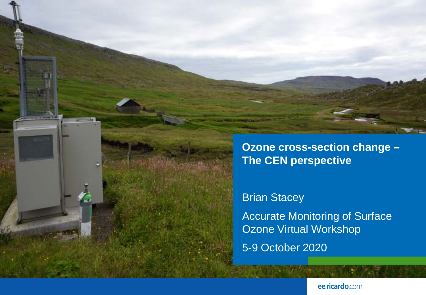

Brian Stacey Accurate Monitoring of Surface Ozone Virtual Workshop 5-9 October 2020

ee.ricardo.com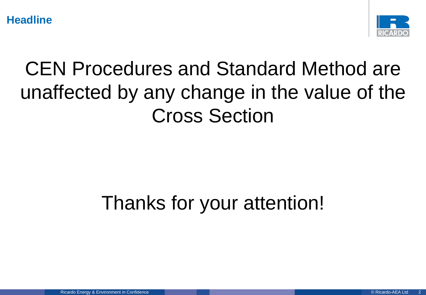**Headline**



## CEN Procedures and Standard Method are unaffected by any change in the value of the Cross Section

## Thanks for your attention!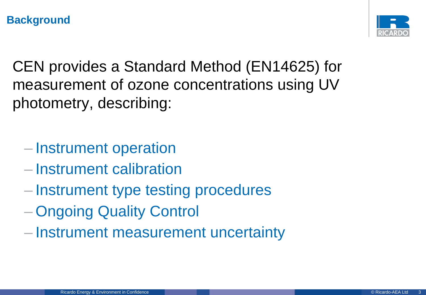

CEN provides a Standard Method (EN14625) for measurement of ozone concentrations using UV photometry, describing:

- Instrument operation
- Instrument calibration
- Instrument type testing procedures
- Ongoing Quality Control
- Instrument measurement uncertainty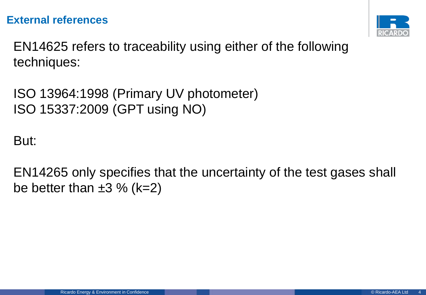#### **External references**



EN14625 refers to traceability using either of the following techniques:

ISO 13964:1998 (Primary UV photometer) ISO 15337:2009 (GPT using NO)

But:

EN14265 only specifies that the uncertainty of the test gases shall be better than  $\pm 3$  % (k=2)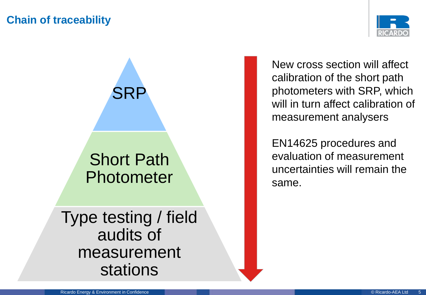#### **Chain of traceability**



New cross section will affect calibration of the short path photometers with SRP, which will in turn affect calibration of measurement analysers

EN14625 procedures and evaluation of measurement uncertainties will remain the same.

Type testing / field audits of measurement stations

SRP

Short Path

Photometer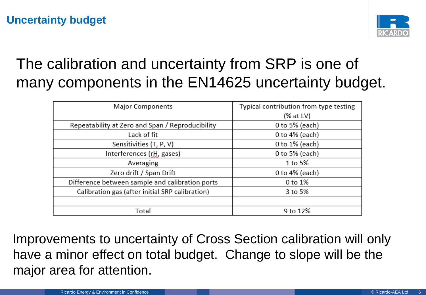#### **Uncertainty budget**



### The calibration and uncertainty from SRP is one of many components in the EN14625 uncertainty budget.

| <b>Major Components</b>                          | Typical contribution from type testing |
|--------------------------------------------------|----------------------------------------|
|                                                  | (% at LV)                              |
| Repeatability at Zero and Span / Reproducibility | 0 to 5% (each)                         |
| Lack of fit                                      | 0 to 4% (each)                         |
| Sensitivities (T, P, V)                          | 0 to 1% (each)                         |
| Interferences (rH, gases)                        | 0 to 5% (each)                         |
| Averaging                                        | 1 to 5%                                |
| Zero drift / Span Drift                          | 0 to 4% (each)                         |
| Difference between sample and calibration ports  | 0 to 1%                                |
| Calibration gas (after initial SRP calibration)  | 3 to 5%                                |
|                                                  |                                        |
| Total                                            | 9 to 12%                               |
|                                                  |                                        |

Improvements to uncertainty of Cross Section calibration will only have a minor effect on total budget. Change to slope will be the major area for attention.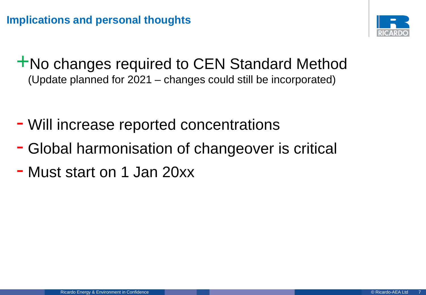

+No changes required to CEN Standard Method (Update planned for 2021 – changes could still be incorporated)

- Will increase reported concentrations
- Global harmonisation of changeover is critical
- Must start on 1 Jan 20xx